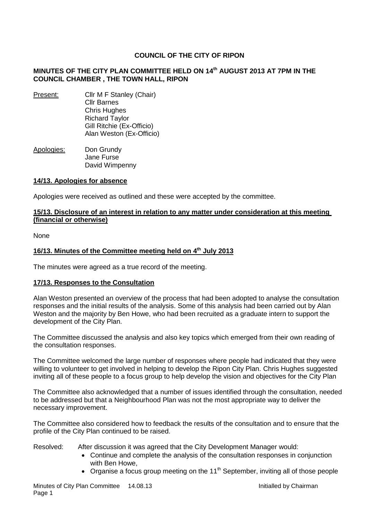# **COUNCIL OF THE CITY OF RIPON**

## **MINUTES OF THE CITY PLAN COMMITTEE HELD ON 14 th AUGUST 2013 AT 7PM IN THE COUNCIL CHAMBER , THE TOWN HALL, RIPON**

- Present: Cllr M F Stanley (Chair) Cllr Barnes Chris Hughes Richard Taylor Gill Ritchie (Ex-Officio) Alan Weston (Ex-Officio)
- Apologies: Don Grundy Jane Furse David Wimpenny

### **14/13. Apologies for absence**

Apologies were received as outlined and these were accepted by the committee.

### **15/13. Disclosure of an interest in relation to any matter under consideration at this meeting (financial or otherwise)**

None

## **16/13. Minutes of the Committee meeting held on 4 th July 2013**

The minutes were agreed as a true record of the meeting.

### **17/13. Responses to the Consultation**

Alan Weston presented an overview of the process that had been adopted to analyse the consultation responses and the initial results of the analysis. Some of this analysis had been carried out by Alan Weston and the majority by Ben Howe, who had been recruited as a graduate intern to support the development of the City Plan.

The Committee discussed the analysis and also key topics which emerged from their own reading of the consultation responses.

The Committee welcomed the large number of responses where people had indicated that they were willing to volunteer to get involved in helping to develop the Ripon City Plan. Chris Hughes suggested inviting all of these people to a focus group to help develop the vision and objectives for the City Plan

The Committee also acknowledged that a number of issues identified through the consultation, needed to be addressed but that a Neighbourhood Plan was not the most appropriate way to deliver the necessary improvement.

The Committee also considered how to feedback the results of the consultation and to ensure that the profile of the City Plan continued to be raised.

- Resolved: After discussion it was agreed that the City Development Manager would:
	- Continue and complete the analysis of the consultation responses in conjunction with Ben Howe,
	- Organise a focus group meeting on the 11<sup>th</sup> September, inviting all of those people